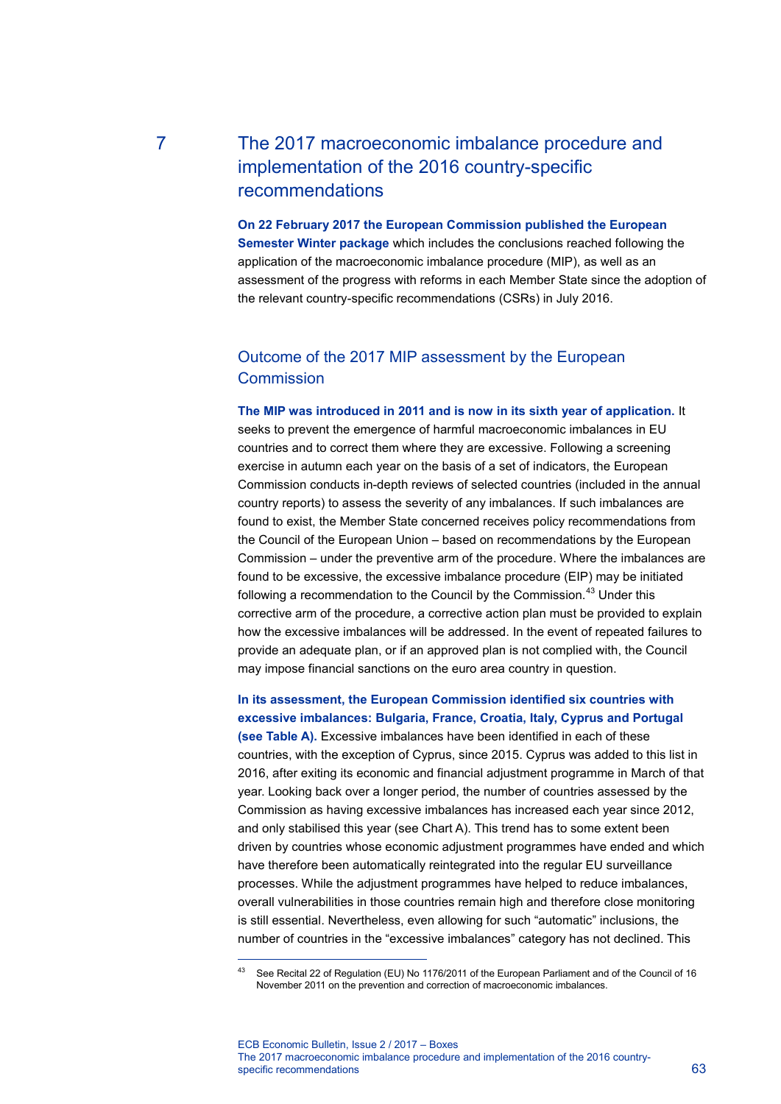# 7 The 2017 macroeconomic imbalance procedure and implementation of the 2016 country-specific recommendations

**On 22 February 2017 the European Commission published the European Semester Winter package** which includes the conclusions reached following the application of the macroeconomic imbalance procedure (MIP), as well as an assessment of the progress with reforms in each Member State since the adoption of the relevant country-specific recommendations (CSRs) in July 2016.

### Outcome of the 2017 MIP assessment by the European **Commission**

**The MIP was introduced in 2011 and is now in its sixth year of application.** It seeks to prevent the emergence of harmful macroeconomic imbalances in EU countries and to correct them where they are excessive. Following a screening exercise in autumn each year on the basis of a set of indicators, the European Commission conducts in-depth reviews of selected countries (included in the annual country reports) to assess the severity of any imbalances. If such imbalances are found to exist, the Member State concerned receives policy recommendations from the Council of the European Union – based on recommendations by the European Commission – under the preventive arm of the procedure. Where the imbalances are found to be excessive, the excessive imbalance procedure (EIP) may be initiated following a recommendation to the Council by the Commission.<sup>[43](#page-0-0)</sup> Under this corrective arm of the procedure, a corrective action plan must be provided to explain how the excessive imbalances will be addressed. In the event of repeated failures to provide an adequate plan, or if an approved plan is not complied with, the Council may impose financial sanctions on the euro area country in question.

### **In its assessment, the European Commission identified six countries with excessive imbalances: Bulgaria, France, Croatia, Italy, Cyprus and Portugal**

**(see Table A).** Excessive imbalances have been identified in each of these countries, with the exception of Cyprus, since 2015. Cyprus was added to this list in 2016, after exiting its economic and financial adjustment programme in March of that year. Looking back over a longer period, the number of countries assessed by the Commission as having excessive imbalances has increased each year since 2012, and only stabilised this year (see Chart A). This trend has to some extent been driven by countries whose economic adjustment programmes have ended and which have therefore been automatically reintegrated into the regular EU surveillance processes. While the adjustment programmes have helped to reduce imbalances, overall vulnerabilities in those countries remain high and therefore close monitoring is still essential. Nevertheless, even allowing for such "automatic" inclusions, the number of countries in the "excessive imbalances" category has not declined. This

<span id="page-0-0"></span>-

<sup>43</sup> See Recital 22 of Regulation (EU) No 1176/2011 of the European Parliament and of the Council of 16 November 2011 on the prevention and correction of macroeconomic imbalances.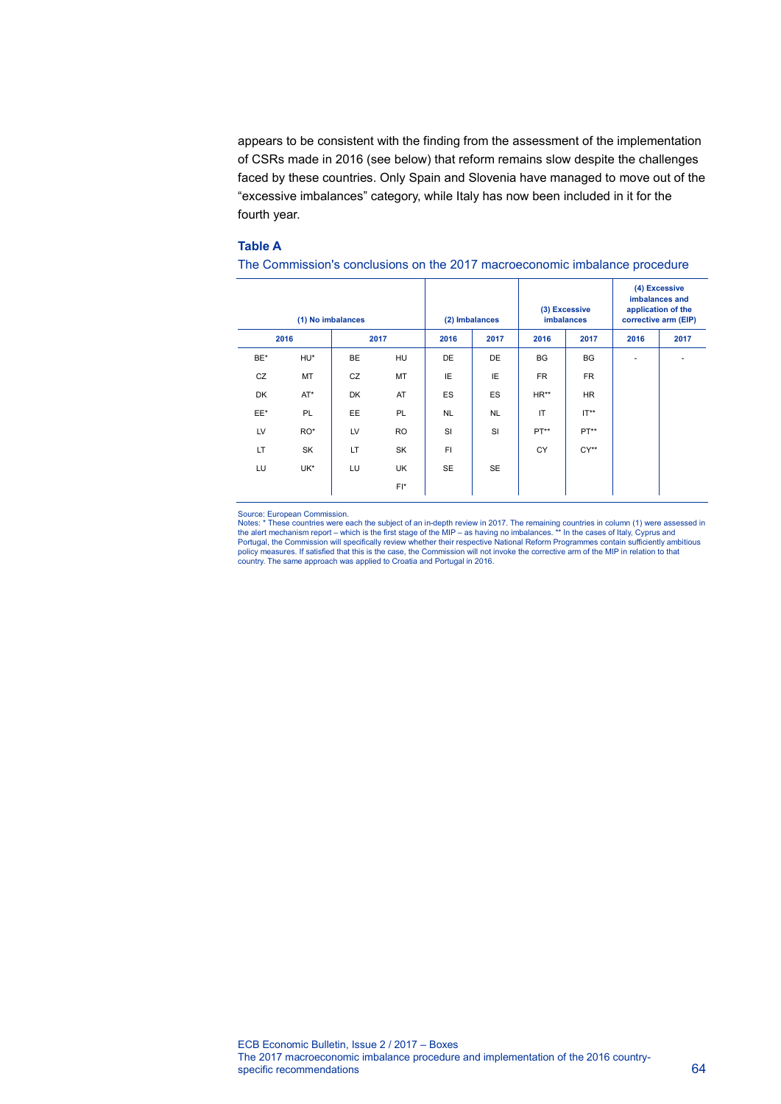appears to be consistent with the finding from the assessment of the implementation of CSRs made in 2016 (see below) that reform remains slow despite the challenges faced by these countries. Only Spain and Slovenia have managed to move out of the "excessive imbalances" category, while Italy has now been included in it for the fourth year.

#### **Table A**

| (1) No imbalances |           |           |           | (2) Imbalances |           | (3) Excessive<br><b>imbalances</b> |           | (4) Excessive<br>imbalances and<br>application of the<br>corrective arm (EIP) |      |
|-------------------|-----------|-----------|-----------|----------------|-----------|------------------------------------|-----------|-------------------------------------------------------------------------------|------|
| 2016              |           | 2017      |           | 2016           | 2017      | 2016                               | 2017      | 2016                                                                          | 2017 |
| BE*               | HU*       | <b>BE</b> | <b>HU</b> | DE             | DE        | <b>BG</b>                          | <b>BG</b> | ٠                                                                             | ٠    |
| CZ                | MT        | CZ        | MT        | IE             | IE        | <b>FR</b>                          | <b>FR</b> |                                                                               |      |
| DK                | $AT^*$    | DK        | AT        | ES             | ES        | HR**                               | <b>HR</b> |                                                                               |      |
| EE*               | <b>PL</b> | EE.       | <b>PL</b> | <b>NL</b>      | <b>NL</b> | IT                                 | $IT**$    |                                                                               |      |
| LV                | RO*       | LV        | <b>RO</b> | SI             | SI        | PT**                               | PT**      |                                                                               |      |
| LT                | SK        | <b>LT</b> | SK        | FI.            |           | <b>CY</b>                          | $CY**$    |                                                                               |      |
| LU                | UK*       | LU        | UK        | SE             | <b>SE</b> |                                    |           |                                                                               |      |
|                   |           |           | $FI^*$    |                |           |                                    |           |                                                                               |      |

#### The Commission's conclusions on the 2017 macroeconomic imbalance procedure

Source: European Commission.<br>Notes: \* These countries were each the subject of an in-depth review in 2017. The remaining countries in column (1) were assessed in<br>Notes: \* These countries were each the subject of an in-dept policy measures. If satisfied that this is the case, the Commission will not invoke the corrective arm of the MIP in relation to that country. The same approach was applied to Croatia and Portugal in 2016.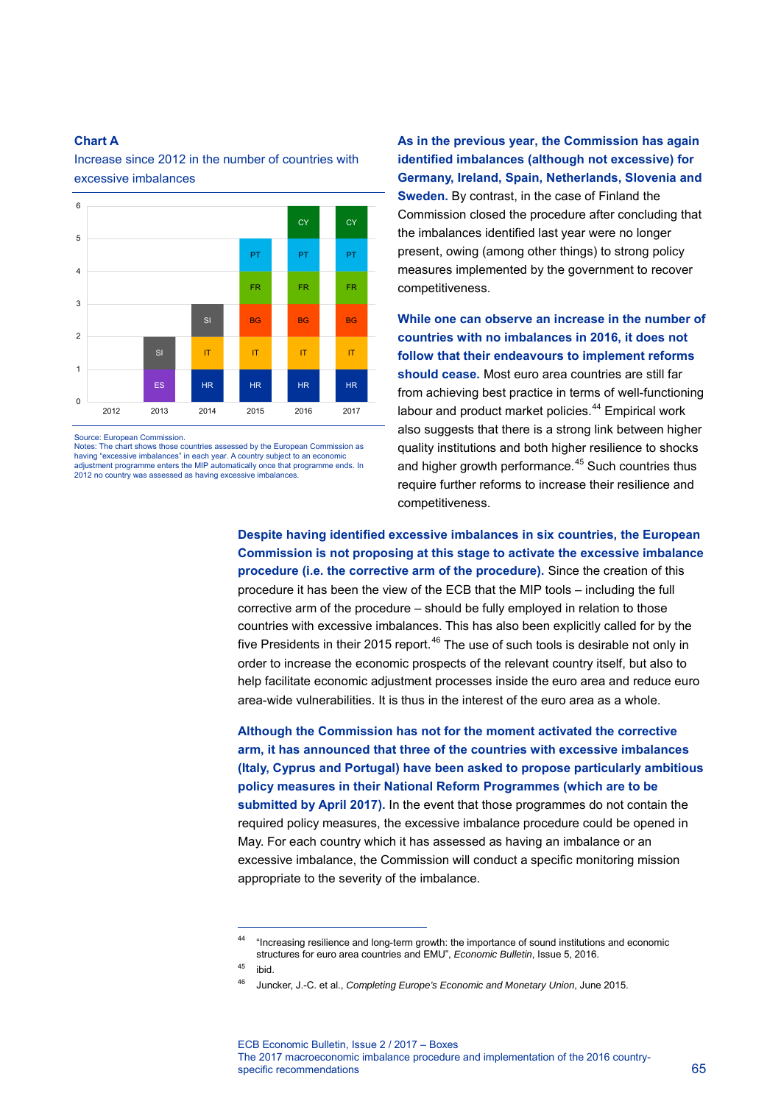#### **Chart A**

Increase since 2012 in the number of countries with excessive imbalances



Source: European Commission.

Notes: The chart shows those countries assessed by the European Commission as having "excessive imbalances" in each year. A country subject to an economic adjustment programme enters the MIP automatically once that programme ends. In 2012 no country was assessed as having excessive imbalances.

**As in the previous year, the Commission has again identified imbalances (although not excessive) for Germany, Ireland, Spain, Netherlands, Slovenia and Sweden.** By contrast, in the case of Finland the Commission closed the procedure after concluding that the imbalances identified last year were no longer present, owing (among other things) to strong policy measures implemented by the government to recover competitiveness.

**While one can observe an increase in the number of countries with no imbalances in 2016, it does not follow that their endeavours to implement reforms should cease.** Most euro area countries are still far from achieving best practice in terms of well-functioning labour and product market policies.<sup>[44](#page-2-0)</sup> Empirical work also suggests that there is a strong link between higher quality institutions and both higher resilience to shocks and higher growth performance.<sup>[45](#page-2-1)</sup> Such countries thus require further reforms to increase their resilience and competitiveness.

**Despite having identified excessive imbalances in six countries, the European Commission is not proposing at this stage to activate the excessive imbalance procedure (i.e. the corrective arm of the procedure).** Since the creation of this procedure it has been the view of the ECB that the MIP tools – including the full corrective arm of the procedure – should be fully employed in relation to those countries with excessive imbalances. This has also been explicitly called for by the five Presidents in their 2015 report. $46$  The use of such tools is desirable not only in order to increase the economic prospects of the relevant country itself, but also to help facilitate economic adjustment processes inside the euro area and reduce euro area-wide vulnerabilities. It is thus in the interest of the euro area as a whole.

**Although the Commission has not for the moment activated the corrective arm, it has announced that three of the countries with excessive imbalances (Italy, Cyprus and Portugal) have been asked to propose particularly ambitious policy measures in their National Reform Programmes (which are to be submitted by April 2017).** In the event that those programmes do not contain the required policy measures, the excessive imbalance procedure could be opened in May. For each country which it has assessed as having an imbalance or an excessive imbalance, the Commission will conduct a specific monitoring mission appropriate to the severity of the imbalance.

-

<sup>44 &</sup>quot;Increasing resilience and long-term growth: the importance of sound institutions and economic structures for euro area countries and EMU", *Economic Bulletin*, Issue 5, 2016.

<span id="page-2-2"></span><span id="page-2-1"></span><span id="page-2-0"></span><sup>45</sup> ibid.

<sup>46</sup> Juncker, J.-C. et al., *Completing Europe's Economic and Monetary Union*, June 2015.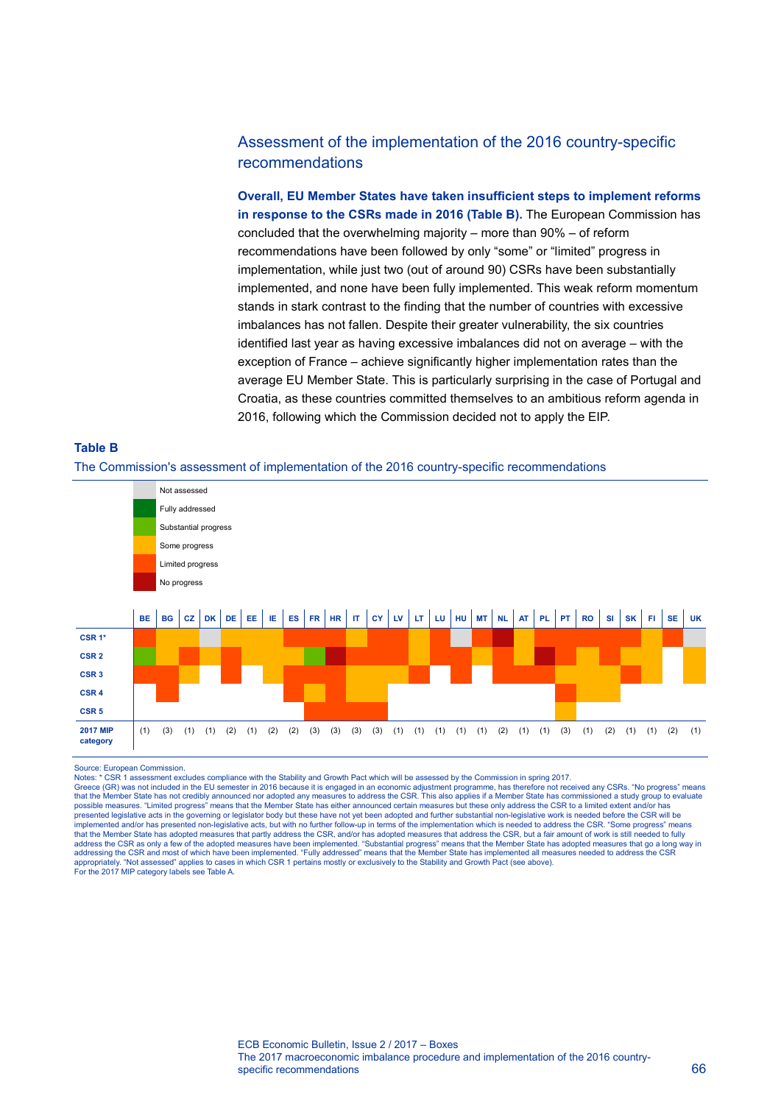### Assessment of the implementation of the 2016 country-specific recommendations

**Overall, EU Member States have taken insufficient steps to implement reforms in response to the CSRs made in 2016 (Table B).** The European Commission has concluded that the overwhelming majority – more than 90% – of reform recommendations have been followed by only "some" or "limited" progress in implementation, while just two (out of around 90) CSRs have been substantially implemented, and none have been fully implemented. This weak reform momentum stands in stark contrast to the finding that the number of countries with excessive imbalances has not fallen. Despite their greater vulnerability, the six countries identified last year as having excessive imbalances did not on average – with the exception of France – achieve significantly higher implementation rates than the average EU Member State. This is particularly surprising in the case of Portugal and Croatia, as these countries committed themselves to an ambitious reform agenda in 2016, following which the Commission decided not to apply the EIP.

## **Table B**  The Commission's assessment of implementation of the 2016 country-specific recommendations

Not assessed Fully addressed Substantial progress Some progress Limited progress No progress BE | BG | CZ | DK | DE | EE | IE | ES | FR | HR | IT | CY | LV | LT | LU | HU | MT | NL | AT | PL | PT | RO | SI | SK | FI | SE | UK **CSR 1\* CSR 2 CSR 3 CSR 4 CSR 5 2017 MIP**  (1) (3) (1) (1) (2) (1) (2) (2) (3) (3) (3) (3) (1) (1) (1) (1) (1) (2) (1) (1) (3) (1) (2) (1) (1) (2) (1)

Source: European Commission.

**category**

Notes: \* CSR 1 assessment excludes compliance with the Stability and Growth Pact which will be assessed by the Commission in spring 2017

Greece (GR) was not included in the EU semester in 2016 because it is engaged in an economic adjustment programme, has therefore not received any CSRs. "No progress" means<br>that the Member State has not credibly announced n presented legislative acts in the governing or legislator body but these have not yet been adopted and further substantial non-legislative work is needed before the CSR will be implemented and/or has presented non-legislative acts, but with no further follow-up in terms of the implementation which is needed to address the CSR. "Some progress" means that the Member State has adopted measures that partly address the CSR, and/or has adopted measures that address the CSR, but a fair amount of work is still needed to fully<br>address the CSR as only a few of the adopted meas addressing the CSR and most of which have been implemented. "Fully addressed" means that the Member State has implemented all measures needed to address the CSR<br>appropriately. "Not assessed" applies to cases in which CSR 1 For the 2017 MIP category labels see Table A.